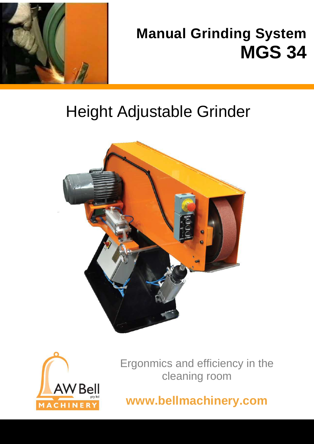

# **Manual Grinding System MGS 34**

# Height Adjustable Grinder





Ergonmics and efficiency in the cleaning room

**www.bellmachinery.com**